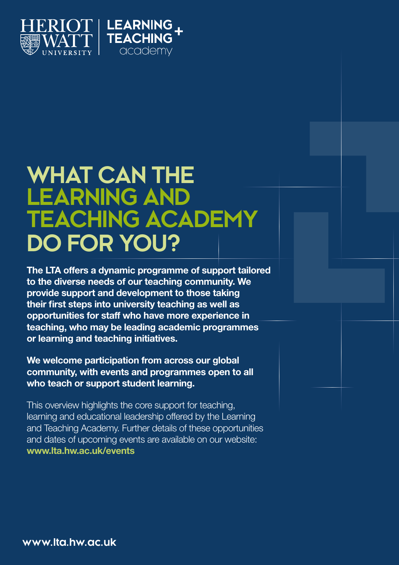

## **WHAT CAN THE LEARNING AND TEACHING ACADEMY DO FOR YOU?**

The LTA offers a dynamic programme of support tailored to the diverse needs of our teaching community. We provide support and development to those taking their first steps into university teaching as well as opportunities for staff who have more experience in teaching, who may be leading academic programmes or learning and teaching initiatives.

We welcome participation from across our global community, with events and programmes open to all who teach or support student learning.

This overview highlights the core support for teaching, learning and educational leadership offered by the Learning and Teaching Academy. Further details of these opportunities and dates of upcoming events are available on our website: www.lta.hw.ac.uk/events

**www.lta.hw.ac.uk**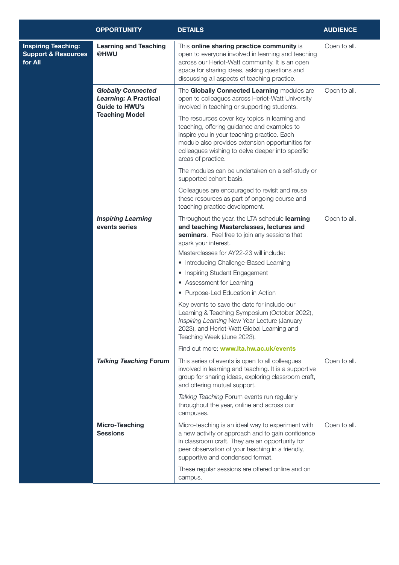|                                                                         | <b>OPPORTUNITY</b>                                                                                          | <b>DETAILS</b>                                                                                                                                                                                                                                                             | <b>AUDIENCE</b> |
|-------------------------------------------------------------------------|-------------------------------------------------------------------------------------------------------------|----------------------------------------------------------------------------------------------------------------------------------------------------------------------------------------------------------------------------------------------------------------------------|-----------------|
| <b>Inspiring Teaching:</b><br><b>Support &amp; Resources</b><br>for All | <b>Learning and Teaching</b><br>@HWU                                                                        | This online sharing practice community is<br>open to everyone involved in learning and teaching<br>across our Heriot-Watt community. It is an open<br>space for sharing ideas, asking questions and<br>discussing all aspects of teaching practice.                        | Open to all.    |
|                                                                         | <b>Globally Connected</b><br><b>Learning: A Practical</b><br><b>Guide to HWU's</b><br><b>Teaching Model</b> | The Globally Connected Learning modules are<br>open to colleagues across Heriot-Watt University<br>involved in teaching or supporting students.                                                                                                                            | Open to all.    |
|                                                                         |                                                                                                             | The resources cover key topics in learning and<br>teaching, offering guidance and examples to<br>inspire you in your teaching practice. Each<br>module also provides extension opportunities for<br>colleagues wishing to delve deeper into specific<br>areas of practice. |                 |
|                                                                         |                                                                                                             | The modules can be undertaken on a self-study or<br>supported cohort basis.                                                                                                                                                                                                |                 |
|                                                                         |                                                                                                             | Colleagues are encouraged to revisit and reuse<br>these resources as part of ongoing course and<br>teaching practice development.                                                                                                                                          |                 |
|                                                                         | <b>Inspiring Learning</b><br>events series                                                                  | Throughout the year, the LTA schedule learning<br>and teaching Masterclasses, lectures and<br>seminars. Feel free to join any sessions that<br>spark your interest.                                                                                                        | Open to all.    |
|                                                                         |                                                                                                             | Masterclasses for AY22-23 will include:                                                                                                                                                                                                                                    |                 |
|                                                                         |                                                                                                             | • Introducing Challenge-Based Learning                                                                                                                                                                                                                                     |                 |
|                                                                         |                                                                                                             | • Inspiring Student Engagement                                                                                                                                                                                                                                             |                 |
|                                                                         |                                                                                                             | • Assessment for Learning                                                                                                                                                                                                                                                  |                 |
|                                                                         |                                                                                                             | • Purpose-Led Education in Action                                                                                                                                                                                                                                          |                 |
|                                                                         |                                                                                                             | Key events to save the date for include our<br>Learning & Teaching Symposium (October 2022),<br>Inspiring Learning New Year Lecture (January<br>2023), and Heriot-Watt Global Learning and<br>Teaching Week (June 2023).                                                   |                 |
|                                                                         |                                                                                                             | Find out more: www.lta.hw.ac.uk/events                                                                                                                                                                                                                                     |                 |
|                                                                         | <b>Talking Teaching Forum</b>                                                                               | This series of events is open to all colleagues<br>involved in learning and teaching. It is a supportive<br>group for sharing ideas, exploring classroom craft,<br>and offering mutual support.                                                                            | Open to all.    |
|                                                                         |                                                                                                             | Talking Teaching Forum events run regularly<br>throughout the year, online and across our<br>campuses.                                                                                                                                                                     |                 |
|                                                                         | <b>Micro-Teaching</b><br><b>Sessions</b>                                                                    | Micro-teaching is an ideal way to experiment with<br>a new activity or approach and to gain confidence<br>in classroom craft. They are an opportunity for<br>peer observation of your teaching in a friendly,<br>supportive and condensed format.                          | Open to all.    |
|                                                                         |                                                                                                             | These regular sessions are offered online and on<br>campus.                                                                                                                                                                                                                |                 |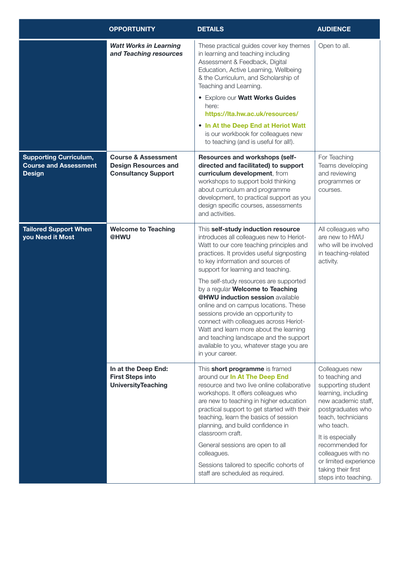|                                                                                | <b>OPPORTUNITY</b>                                                                          | <b>DETAILS</b>                                                                                                                                                                                                                                                                                                                                                                                                                                                                                                                                                                                                                                   | <b>AUDIENCE</b>                                                                                                                                                                                                                                                                                    |
|--------------------------------------------------------------------------------|---------------------------------------------------------------------------------------------|--------------------------------------------------------------------------------------------------------------------------------------------------------------------------------------------------------------------------------------------------------------------------------------------------------------------------------------------------------------------------------------------------------------------------------------------------------------------------------------------------------------------------------------------------------------------------------------------------------------------------------------------------|----------------------------------------------------------------------------------------------------------------------------------------------------------------------------------------------------------------------------------------------------------------------------------------------------|
|                                                                                | <b>Watt Works in Learning</b><br>and Teaching resources                                     | These practical guides cover key themes<br>in learning and teaching including<br>Assessment & Feedback, Digital<br>Education, Active Learning, Wellbeing<br>& the Curriculum, and Scholarship of<br>Teaching and Learning.<br><b>• Explore our Watt Works Guides</b><br>here:<br>https://lta.hw.ac.uk/resources/                                                                                                                                                                                                                                                                                                                                 | Open to all.                                                                                                                                                                                                                                                                                       |
|                                                                                |                                                                                             | • In At the Deep End at Heriot Watt<br>is our workbook for colleagues new<br>to teaching (and is useful for all!).                                                                                                                                                                                                                                                                                                                                                                                                                                                                                                                               |                                                                                                                                                                                                                                                                                                    |
| <b>Supporting Curriculum,</b><br><b>Course and Assessment</b><br><b>Design</b> | <b>Course &amp; Assessment</b><br><b>Design Resources and</b><br><b>Consultancy Support</b> | <b>Resources and workshops (self-</b><br>directed and facilitated) to support<br>curriculum development, from<br>workshops to support bold thinking<br>about curriculum and programme<br>development, to practical support as you<br>design specific courses, assessments<br>and activities.                                                                                                                                                                                                                                                                                                                                                     | For Teaching<br>Teams developing<br>and reviewing<br>programmes or<br>courses.                                                                                                                                                                                                                     |
| <b>Tailored Support When</b><br>you Need it Most                               | <b>Welcome to Teaching</b><br>@HWU                                                          | This self-study induction resource<br>introduces all colleagues new to Heriot-<br>Watt to our core teaching principles and<br>practices. It provides useful signposting<br>to key information and sources of<br>support for learning and teaching.<br>The self-study resources are supported<br>by a regular Welcome to Teaching<br>@HWU induction session available<br>online and on campus locations. These<br>sessions provide an opportunity to<br>connect with colleagues across Heriot-<br>Watt and learn more about the learning<br>and teaching landscape and the support<br>available to you, whatever stage you are<br>in your career. | All colleagues who<br>are new to HWU<br>who will be involved<br>in teaching-related<br>activity.                                                                                                                                                                                                   |
|                                                                                | In at the Deep End:<br><b>First Steps into</b><br><b>UniversityTeaching</b>                 | This short programme is framed<br>around our In At The Deep End<br>resource and two live online collaborative<br>workshops. It offers colleagues who<br>are new to teaching in higher education<br>practical support to get started with their<br>teaching, learn the basics of session<br>planning, and build confidence in<br>classroom craft.<br>General sessions are open to all<br>colleagues.<br>Sessions tailored to specific cohorts of<br>staff are scheduled as required.                                                                                                                                                              | Colleagues new<br>to teaching and<br>supporting student<br>learning, including<br>new academic staff,<br>postgraduates who<br>teach, technicians<br>who teach.<br>It is especially<br>recommended for<br>colleagues with no<br>or limited experience<br>taking their first<br>steps into teaching. |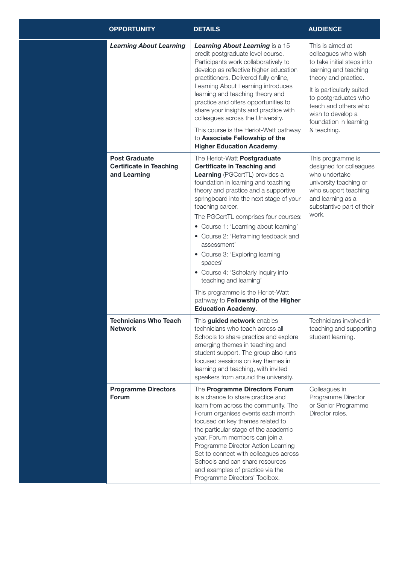| <b>OPPORTUNITY</b>                                                     | <b>DETAILS</b>                                                                                                                                                                                                                                                                                                                                                                                                                                                                                                                                                                                                           | <b>AUDIENCE</b>                                                                                                                                                                                                          |
|------------------------------------------------------------------------|--------------------------------------------------------------------------------------------------------------------------------------------------------------------------------------------------------------------------------------------------------------------------------------------------------------------------------------------------------------------------------------------------------------------------------------------------------------------------------------------------------------------------------------------------------------------------------------------------------------------------|--------------------------------------------------------------------------------------------------------------------------------------------------------------------------------------------------------------------------|
| <b>Learning About Learning</b>                                         | Learning About Learning is a 15<br>credit postgraduate level course.<br>Participants work collaboratively to<br>develop as reflective higher education<br>practitioners. Delivered fully online,<br>Learning About Learning introduces<br>learning and teaching theory and<br>practice and offers opportunities to<br>share your insights and practice with                                                                                                                                                                                                                                                              | This is aimed at<br>colleagues who wish<br>to take initial steps into<br>learning and teaching<br>theory and practice.<br>It is particularly suited<br>to postgraduates who<br>teach and others who<br>wish to develop a |
|                                                                        | colleagues across the University.<br>This course is the Heriot-Watt pathway<br>to Associate Fellowship of the<br><b>Higher Education Academy.</b>                                                                                                                                                                                                                                                                                                                                                                                                                                                                        | foundation in learning<br>& teaching.                                                                                                                                                                                    |
| <b>Post Graduate</b><br><b>Certificate in Teaching</b><br>and Learning | The Heriot-Watt Postgraduate<br><b>Certificate in Teaching and</b><br><b>Learning</b> (PGCertTL) provides a<br>foundation in learning and teaching<br>theory and practice and a supportive<br>springboard into the next stage of your<br>teaching career.<br>The PGCertTL comprises four courses:<br>• Course 1: 'Learning about learning'<br>• Course 2: 'Reframing feedback and<br>assessment'<br>• Course 3: 'Exploring learning<br>spaces'<br>• Course 4: 'Scholarly inquiry into<br>teaching and learning'<br>This programme is the Heriot-Watt<br>pathway to Fellowship of the Higher<br><b>Education Academy.</b> | This programme is<br>designed for colleagues<br>who undertake<br>university teaching or<br>who support teaching<br>and learning as a<br>substantive part of their<br>work.                                               |
| <b>Technicians Who Teach</b><br><b>Network</b>                         | This guided network enables<br>technicians who teach across all<br>Schools to share practice and explore<br>emerging themes in teaching and<br>student support. The group also runs<br>focused sessions on key themes in<br>learning and teaching, with invited<br>speakers from around the university.                                                                                                                                                                                                                                                                                                                  | Technicians involved in<br>teaching and supporting<br>student learning.                                                                                                                                                  |
| <b>Programme Directors</b><br><b>Forum</b>                             | The Programme Directors Forum<br>is a chance to share practice and<br>learn from across the community. The<br>Forum organises events each month<br>focused on key themes related to<br>the particular stage of the academic<br>year. Forum members can join a<br>Programme Director Action Learning<br>Set to connect with colleagues across<br>Schools and can share resources<br>and examples of practice via the<br>Programme Directors' Toolbox.                                                                                                                                                                     | Colleagues in<br>Programme Director<br>or Senior Programme<br>Director roles.                                                                                                                                            |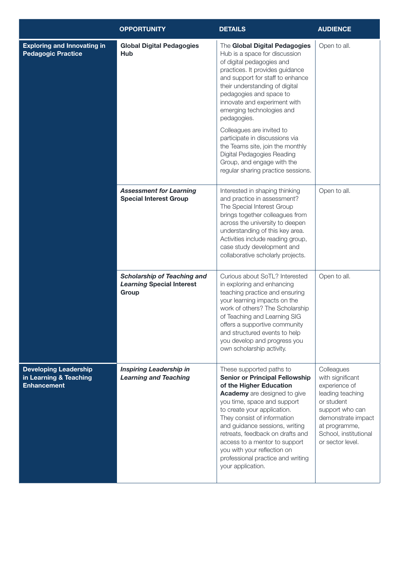|                                                                              | <b>OPPORTUNITY</b>                                                              | <b>DETAILS</b>                                                                                                                                                                                                                                                                                                                                                                                                                                                                                                   | <b>AUDIENCE</b>                                                                                                                                                                          |
|------------------------------------------------------------------------------|---------------------------------------------------------------------------------|------------------------------------------------------------------------------------------------------------------------------------------------------------------------------------------------------------------------------------------------------------------------------------------------------------------------------------------------------------------------------------------------------------------------------------------------------------------------------------------------------------------|------------------------------------------------------------------------------------------------------------------------------------------------------------------------------------------|
| <b>Exploring and Innovating in</b><br><b>Pedagogic Practice</b>              | <b>Global Digital Pedagogies</b><br><b>Hub</b>                                  | The Global Digital Pedagogies<br>Hub is a space for discussion<br>of digital pedagogies and<br>practices. It provides guidance<br>and support for staff to enhance<br>their understanding of digital<br>pedagogies and space to<br>innovate and experiment with<br>emerging technologies and<br>pedagogies.<br>Colleagues are invited to<br>participate in discussions via<br>the Teams site, join the monthly<br>Digital Pedagogies Reading<br>Group, and engage with the<br>regular sharing practice sessions. | Open to all.                                                                                                                                                                             |
|                                                                              | <b>Assessment for Learning</b><br><b>Special Interest Group</b>                 | Interested in shaping thinking<br>and practice in assessment?<br>The Special Interest Group<br>brings together colleagues from<br>across the university to deepen<br>understanding of this key area.<br>Activities include reading group,<br>case study development and<br>collaborative scholarly projects.                                                                                                                                                                                                     | Open to all.                                                                                                                                                                             |
|                                                                              | <b>Scholarship of Teaching and</b><br><b>Learning Special Interest</b><br>Group | Curious about SoTL? Interested<br>in exploring and enhancing<br>teaching practice and ensuring<br>your learning impacts on the<br>work of others? The Scholarship<br>of Teaching and Learning SIG<br>offers a supportive community<br>and structured events to help<br>you develop and progress you<br>own scholarship activity.                                                                                                                                                                                 | Open to all.                                                                                                                                                                             |
| <b>Developing Leadership</b><br>in Learning & Teaching<br><b>Enhancement</b> | <b>Inspiring Leadership in</b><br><b>Learning and Teaching</b>                  | These supported paths to<br><b>Senior or Principal Fellowship</b><br>of the Higher Education<br><b>Academy</b> are designed to give<br>you time, space and support<br>to create your application.<br>They consist of information<br>and guidance sessions, writing<br>retreats, feedback on drafts and<br>access to a mentor to support<br>you with your reflection on<br>professional practice and writing<br>your application.                                                                                 | Colleagues<br>with significant<br>experience of<br>leading teaching<br>or student<br>support who can<br>demonstrate impact<br>at programme,<br>School, institutional<br>or sector level. |